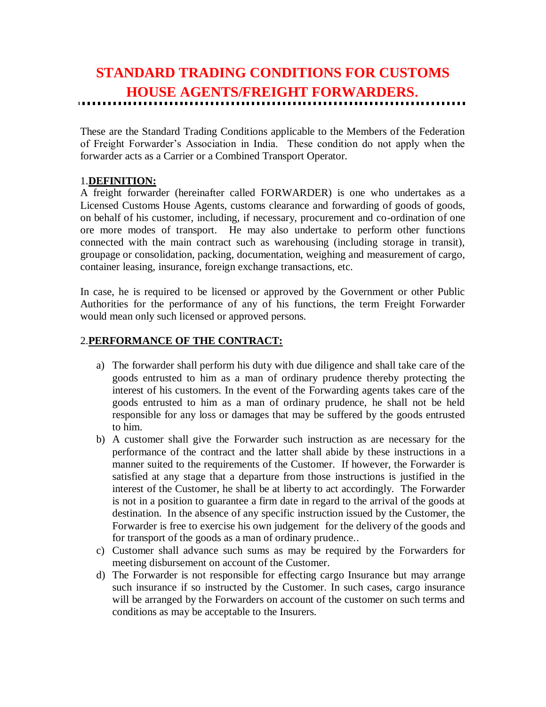# **STANDARD TRADING CONDITIONS FOR CUSTOMS HOUSE AGENTS/FREIGHT FORWARDERS**.

These are the Standard Trading Conditions applicable to the Members of the Federation of Freight Forwarder's Association in India. These condition do not apply when the forwarder acts as a Carrier or a Combined Transport Operator.

## 1.**DEFINITION:**

A freight forwarder (hereinafter called FORWARDER) is one who undertakes as a Licensed Customs House Agents, customs clearance and forwarding of goods of goods, on behalf of his customer, including, if necessary, procurement and co-ordination of one ore more modes of transport. He may also undertake to perform other functions connected with the main contract such as warehousing (including storage in transit), groupage or consolidation, packing, documentation, weighing and measurement of cargo, container leasing, insurance, foreign exchange transactions, etc.

In case, he is required to be licensed or approved by the Government or other Public Authorities for the performance of any of his functions, the term Freight Forwarder would mean only such licensed or approved persons.

## 2.**PERFORMANCE OF THE CONTRACT:**

- a) The forwarder shall perform his duty with due diligence and shall take care of the goods entrusted to him as a man of ordinary prudence thereby protecting the interest of his customers. In the event of the Forwarding agents takes care of the goods entrusted to him as a man of ordinary prudence, he shall not be held responsible for any loss or damages that may be suffered by the goods entrusted to him.
- b) A customer shall give the Forwarder such instruction as are necessary for the performance of the contract and the latter shall abide by these instructions in a manner suited to the requirements of the Customer. If however, the Forwarder is satisfied at any stage that a departure from those instructions is justified in the interest of the Customer, he shall be at liberty to act accordingly. The Forwarder is not in a position to guarantee a firm date in regard to the arrival of the goods at destination. In the absence of any specific instruction issued by the Customer, the Forwarder is free to exercise his own judgement for the delivery of the goods and for transport of the goods as a man of ordinary prudence..
- c) Customer shall advance such sums as may be required by the Forwarders for meeting disbursement on account of the Customer.
- d) The Forwarder is not responsible for effecting cargo Insurance but may arrange such insurance if so instructed by the Customer. In such cases, cargo insurance will be arranged by the Forwarders on account of the customer on such terms and conditions as may be acceptable to the Insurers.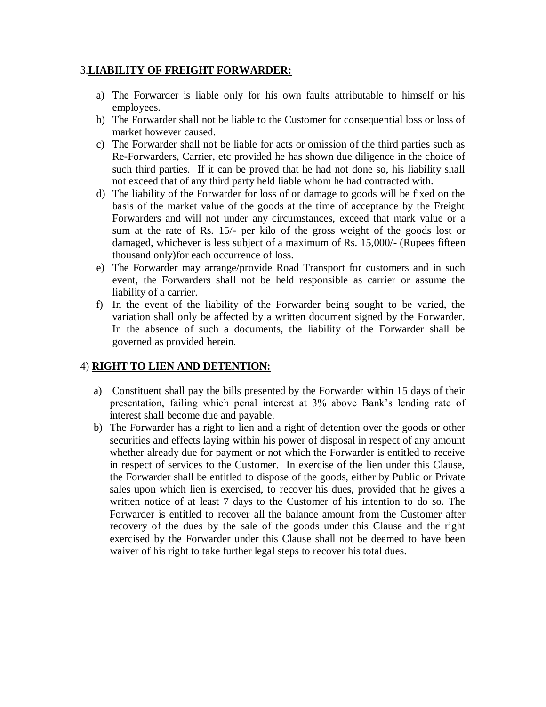## 3.**LIABILITY OF FREIGHT FORWARDER:**

- a) The Forwarder is liable only for his own faults attributable to himself or his employees.
- b) The Forwarder shall not be liable to the Customer for consequential loss or loss of market however caused.
- c) The Forwarder shall not be liable for acts or omission of the third parties such as Re-Forwarders, Carrier, etc provided he has shown due diligence in the choice of such third parties. If it can be proved that he had not done so, his liability shall not exceed that of any third party held liable whom he had contracted with.
- d) The liability of the Forwarder for loss of or damage to goods will be fixed on the basis of the market value of the goods at the time of acceptance by the Freight Forwarders and will not under any circumstances, exceed that mark value or a sum at the rate of Rs. 15/- per kilo of the gross weight of the goods lost or damaged, whichever is less subject of a maximum of Rs. 15,000/- (Rupees fifteen thousand only)for each occurrence of loss.
- e) The Forwarder may arrange/provide Road Transport for customers and in such event, the Forwarders shall not be held responsible as carrier or assume the liability of a carrier.
- f) In the event of the liability of the Forwarder being sought to be varied, the variation shall only be affected by a written document signed by the Forwarder. In the absence of such a documents, the liability of the Forwarder shall be governed as provided herein.

## 4) **RIGHT TO LIEN AND DETENTION:**

- a) Constituent shall pay the bills presented by the Forwarder within 15 days of their presentation, failing which penal interest at 3% above Bank's lending rate of interest shall become due and payable.
- b) The Forwarder has a right to lien and a right of detention over the goods or other securities and effects laying within his power of disposal in respect of any amount whether already due for payment or not which the Forwarder is entitled to receive in respect of services to the Customer. In exercise of the lien under this Clause, the Forwarder shall be entitled to dispose of the goods, either by Public or Private sales upon which lien is exercised, to recover his dues, provided that he gives a written notice of at least 7 days to the Customer of his intention to do so. The Forwarder is entitled to recover all the balance amount from the Customer after recovery of the dues by the sale of the goods under this Clause and the right exercised by the Forwarder under this Clause shall not be deemed to have been waiver of his right to take further legal steps to recover his total dues.